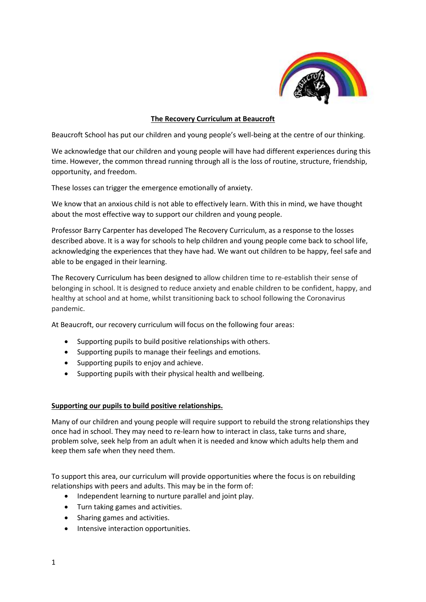

# **The Recovery Curriculum at Beaucroft**

Beaucroft School has put our children and young people's well-being at the centre of our thinking.

We acknowledge that our children and young people will have had different experiences during this time. However, the common thread running through all is the loss of routine, structure, friendship, opportunity, and freedom.

These losses can trigger the emergence emotionally of anxiety.

We know that an anxious child is not able to effectively learn. With this in mind, we have thought about the most effective way to support our children and young people.

Professor Barry Carpenter has developed The Recovery Curriculum, as a response to the losses described above. It is a way for schools to help children and young people come back to school life, acknowledging the experiences that they have had. We want out children to be happy, feel safe and able to be engaged in their learning.

The Recovery Curriculum has been designed to allow children time to re-establish their sense of belonging in school. It is designed to reduce anxiety and enable children to be confident, happy, and healthy at school and at home, whilst transitioning back to school following the Coronavirus pandemic.

At Beaucroft, our recovery curriculum will focus on the following four areas:

- Supporting pupils to build positive relationships with others.
- Supporting pupils to manage their feelings and emotions.
- Supporting pupils to enjoy and achieve.
- Supporting pupils with their physical health and wellbeing.

## **Supporting our pupils to build positive relationships.**

Many of our children and young people will require support to rebuild the strong relationships they once had in school. They may need to re-learn how to interact in class, take turns and share, problem solve, seek help from an adult when it is needed and know which adults help them and keep them safe when they need them.

To support this area, our curriculum will provide opportunities where the focus is on rebuilding relationships with peers and adults. This may be in the form of:

- Independent learning to nurture parallel and joint play.
- Turn taking games and activities.
- Sharing games and activities.
- Intensive interaction opportunities.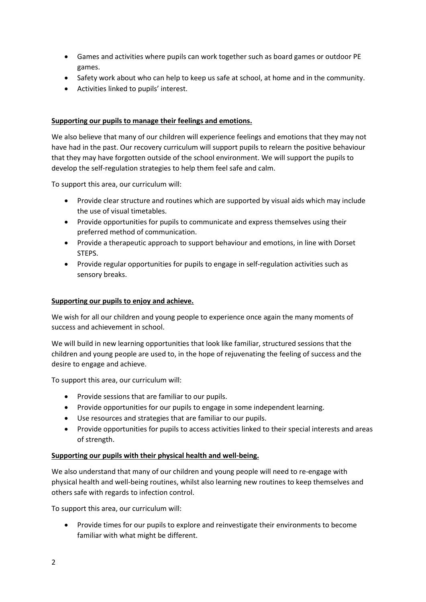- Games and activities where pupils can work together such as board games or outdoor PE games.
- Safety work about who can help to keep us safe at school, at home and in the community.
- Activities linked to pupils' interest.

# **Supporting our pupils to manage their feelings and emotions.**

We also believe that many of our children will experience feelings and emotions that they may not have had in the past. Our recovery curriculum will support pupils to relearn the positive behaviour that they may have forgotten outside of the school environment. We will support the pupils to develop the self-regulation strategies to help them feel safe and calm.

To support this area, our curriculum will:

- Provide clear structure and routines which are supported by visual aids which may include the use of visual timetables.
- Provide opportunities for pupils to communicate and express themselves using their preferred method of communication.
- Provide a therapeutic approach to support behaviour and emotions, in line with Dorset STEPS.
- Provide regular opportunities for pupils to engage in self-regulation activities such as sensory breaks.

# **Supporting our pupils to enjoy and achieve.**

We wish for all our children and young people to experience once again the many moments of success and achievement in school.

We will build in new learning opportunities that look like familiar, structured sessions that the children and young people are used to, in the hope of rejuvenating the feeling of success and the desire to engage and achieve.

To support this area, our curriculum will:

- Provide sessions that are familiar to our pupils.
- Provide opportunities for our pupils to engage in some independent learning.
- Use resources and strategies that are familiar to our pupils.
- Provide opportunities for pupils to access activities linked to their special interests and areas of strength.

## **Supporting our pupils with their physical health and well-being.**

We also understand that many of our children and young people will need to re-engage with physical health and well-being routines, whilst also learning new routines to keep themselves and others safe with regards to infection control.

To support this area, our curriculum will:

• Provide times for our pupils to explore and reinvestigate their environments to become familiar with what might be different.